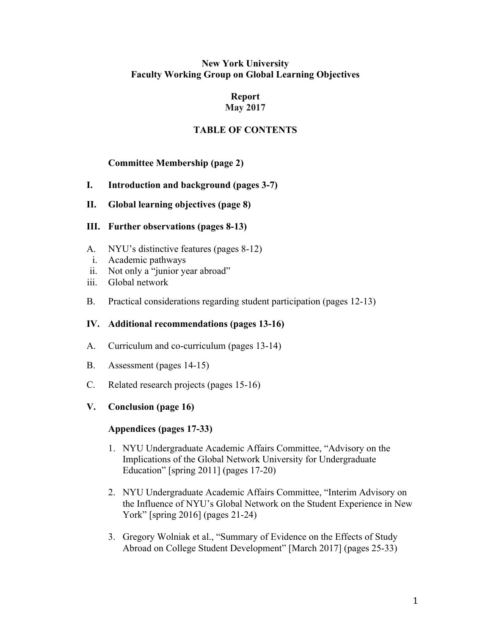# **New York University Faculty Working Group on Global Learning Objectives**

#### **Report May 2017**

# **TABLE OF CONTENTS**

# **Committee Membership (page 2)**

- **I. Introduction and background (pages 3-7)**
- **II. Global learning objectives (page 8)**
- **III. Further observations (pages 8-13)**
- A. NYU's distinctive features (pages 8-12)
- i. Academic pathways
- ii. Not only a "junior year abroad"
- iii. Global network
- B. Practical considerations regarding student participation (pages 12-13)

# **IV. Additional recommendations (pages 13-16)**

- A. Curriculum and co-curriculum (pages 13-14)
- B. Assessment (pages 14-15)
- C. Related research projects (pages 15-16)

# **V. Conclusion (page 16)**

# **Appendices (pages 17-33)**

- 1. NYU Undergraduate Academic Affairs Committee, "Advisory on the Implications of the Global Network University for Undergraduate Education" [spring 2011] (pages 17-20)
- 2. NYU Undergraduate Academic Affairs Committee, "Interim Advisory on the Influence of NYU's Global Network on the Student Experience in New York" [spring 2016] (pages 21-24)
- 3. Gregory Wolniak et al., "Summary of Evidence on the Effects of Study Abroad on College Student Development" [March 2017] (pages 25-33)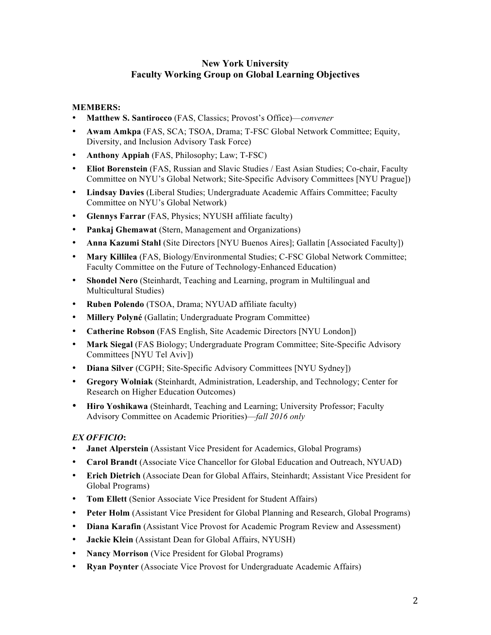# **New York University Faculty Working Group on Global Learning Objectives**

### **MEMBERS:**

- **Matthew S. Santirocco** (FAS, Classics; Provost's Office)—*convener*
- **Awam Amkpa** (FAS, SCA; TSOA, Drama; T-FSC Global Network Committee; Equity, Diversity, and Inclusion Advisory Task Force)
- **Anthony Appiah** (FAS, Philosophy; Law; T-FSC)
- **Eliot Borenstein** (FAS, Russian and Slavic Studies / East Asian Studies; Co-chair, Faculty Committee on NYU's Global Network; Site-Specific Advisory Committees [NYU Prague])
- **Lindsay Davies** (Liberal Studies; Undergraduate Academic Affairs Committee; Faculty Committee on NYU's Global Network)
- **Glennys Farrar** (FAS, Physics; NYUSH affiliate faculty)
- **Pankaj Ghemawat** (Stern, Management and Organizations)
- **Anna Kazumi Stahl** (Site Directors [NYU Buenos Aires]; Gallatin [Associated Faculty])
- **Mary Killilea** (FAS, Biology/Environmental Studies; C-FSC Global Network Committee; Faculty Committee on the Future of Technology-Enhanced Education)
- **Shondel Nero** (Steinhardt, Teaching and Learning, program in Multilingual and Multicultural Studies)
- **Ruben Polendo** (TSOA, Drama; NYUAD affiliate faculty)
- **Millery Polyné** (Gallatin; Undergraduate Program Committee)
- **Catherine Robson** (FAS English, Site Academic Directors [NYU London])
- Mark Siegal (FAS Biology; Undergraduate Program Committee; Site-Specific Advisory Committees [NYU Tel Aviv])
- **Diana Silver** (CGPH; Site-Specific Advisory Committees [NYU Sydney])
- **Gregory Wolniak** (Steinhardt, Administration, Leadership, and Technology; Center for Research on Higher Education Outcomes)
- **Hiro Yoshikawa** (Steinhardt, Teaching and Learning; University Professor; Faculty Advisory Committee on Academic Priorities)—*fall 2016 only*

#### *EX OFFICIO***:**

- **Janet Alperstein** (Assistant Vice President for Academics, Global Programs)
- **Carol Brandt** (Associate Vice Chancellor for Global Education and Outreach, NYUAD)
- **Erich Dietrich** (Associate Dean for Global Affairs, Steinhardt; Assistant Vice President for Global Programs)
- **Tom Ellett** (Senior Associate Vice President for Student Affairs)
- **Peter Holm** (Assistant Vice President for Global Planning and Research, Global Programs)
- **Diana Karafin** (Assistant Vice Provost for Academic Program Review and Assessment)
- **Jackie Klein** (Assistant Dean for Global Affairs, NYUSH)
- **Nancy Morrison** (Vice President for Global Programs)
- **Ryan Poynter** (Associate Vice Provost for Undergraduate Academic Affairs)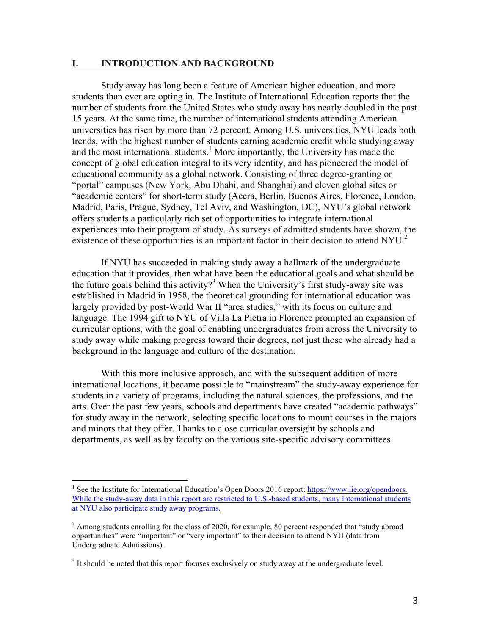#### **I. INTRODUCTION AND BACKGROUND**

Study away has long been a feature of American higher education, and more students than ever are opting in. The Institute of International Education reports that the number of students from the United States who study away has nearly doubled in the past 15 years. At the same time, the number of international students attending American universities has risen by more than 72 percent. Among U.S. universities, NYU leads both trends, with the highest number of students earning academic credit while studying away and the most international students. <sup>1</sup> More importantly, the University has made the concept of global education integral to its very identity, and has pioneered the model of educational community as a global network. Consisting of three degree-granting or "portal" campuses (New York, Abu Dhabi, and Shanghai) and eleven global sites or "academic centers" for short-term study (Accra, Berlin, Buenos Aires, Florence, London, Madrid, Paris, Prague, Sydney, Tel Aviv, and Washington, DC), NYU's global network offers students a particularly rich set of opportunities to integrate international experiences into their program of study. As surveys of admitted students have shown, the existence of these opportunities is an important factor in their decision to attend  $NYU<sup>2</sup>$ 

If NYU has succeeded in making study away a hallmark of the undergraduate education that it provides, then what have been the educational goals and what should be the future goals behind this activity?<sup>3</sup> When the University's first study-away site was established in Madrid in 1958, the theoretical grounding for international education was largely provided by post-World War II "area studies," with its focus on culture and language. The 1994 gift to NYU of Villa La Pietra in Florence prompted an expansion of curricular options, with the goal of enabling undergraduates from across the University to study away while making progress toward their degrees, not just those who already had a background in the language and culture of the destination.

With this more inclusive approach, and with the subsequent addition of more international locations, it became possible to "mainstream" the study-away experience for students in a variety of programs, including the natural sciences, the professions, and the arts. Over the past few years, schools and departments have created "academic pathways" for study away in the network, selecting specific locations to mount courses in the majors and minors that they offer. Thanks to close curricular oversight by schools and departments, as well as by faculty on the various site-specific advisory committees

<sup>&</sup>lt;sup>1</sup> See the Institute for International Education's Open Doors 2016 report: https://www.iie.org/opendoors. While the study-away data in this report are restricted to U.S.-based students, many international students at NYU also participate study away programs.

 $^{2}$  Among students enrolling for the class of 2020, for example, 80 percent responded that "study abroad" opportunities" were "important" or "very important" to their decision to attend NYU (data from Undergraduate Admissions).

<sup>&</sup>lt;sup>3</sup> It should be noted that this report focuses exclusively on study away at the undergraduate level.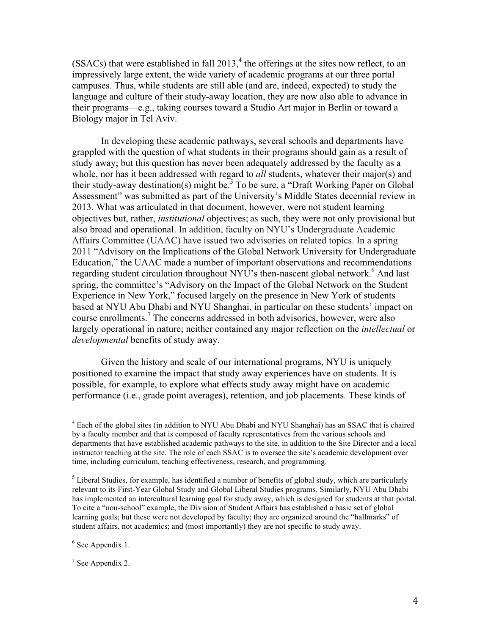$(SSACs)$  that were established in fall  $2013<sup>4</sup>$ , the offerings at the sites now reflect, to an impressively large extent, the wide variety of academic programs at our three portal campuses. Thus, while students are still able (and are, indeed, expected) to study the language and culture of their study-away location, they are now also able to advance in their programs—e.g., taking courses toward a Studio Art major in Berlin or toward a Biology major in Tel Aviv.

In developing these academic pathways, several schools and departments have grappled with the question of what students in their programs should gain as a result of study away; but this question has never been adequately addressed by the faculty as a whole, nor has it been addressed with regard to *all* students, whatever their major(s) and their study-away destination(s) might be.<sup>5</sup> To be sure, a "Draft Working Paper on Global Assessment" was submitted as part of the University's Middle States decennial review in 2013. What was articulated in that document, however, were not student learning objectives but, rather, *institutional* objectives; as such, they were not only provisional but also broad and operational. In addition, faculty on NYU's Undergraduate Academic Affairs Committee (UAAC) have issued two advisories on related topics. In a spring 2011 "Advisory on the Implications of the Global Network University for Undergraduate Education," the UAAC made a number of important observations and recommendations regarding student circulation throughout NYU's then-nascent global network.<sup>6</sup> And last spring, the committee's "Advisory on the Impact of the Global Network on the Student Experience in New York," focused largely on the presence in New York of students based at NYU Abu Dhabi and NYU Shanghai, in particular on these students' impact on course enrollments.<sup>7</sup> The concerns addressed in both advisories, however, were also largely operational in nature; neither contained any major reflection on the *intellectual* or *developmental* benefits of study away.

Given the history and scale of our international programs, NYU is uniquely positioned to examine the impact that study away experiences have on students. It is possible, for example, to explore what effects study away might have on academic performance (i.e., grade point averages), retention, and job placements. These kinds of

 $6$  See Appendix 1.

 $7$  See Appendix 2.

 $<sup>4</sup>$  Each of the global sites (in addition to NYU Abu Dhabi and NYU Shanghai) has an SSAC that is chaired</sup> by a faculty member and that is composed of faculty representatives from the various schools and departments that have established academic pathways to the site, in addition to the Site Director and a local instructor teaching at the site. The role of each SSAC is to oversee the site's academic development over time, including curriculum, teaching effectiveness, research, and programming.

 $<sup>5</sup>$  Liberal Studies, for example, has identified a number of benefits of global study, which are particularly</sup> relevant to its First-Year Global Study and Global Liberal Studies programs. Similarly, NYU Abu Dhabi has implemented an intercultural learning goal for study away, which is designed for students at that portal. To cite a "non-school" example, the Division of Student Affairs has established a basic set of global learning goals; but these were not developed by faculty; they are organized around the "hallmarks" of student affairs, not academics; and (most importantly) they are not specific to study away.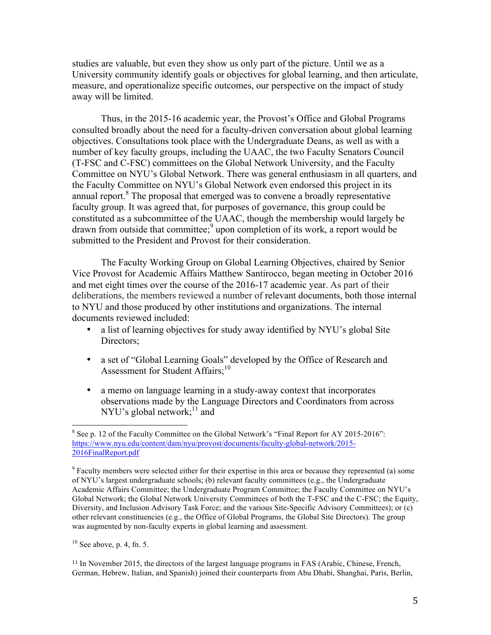studies are valuable, but even they show us only part of the picture. Until we as a University community identify goals or objectives for global learning, and then articulate, measure, and operationalize specific outcomes, our perspective on the impact of study away will be limited.

Thus, in the 2015-16 academic year, the Provost's Office and Global Programs consulted broadly about the need for a faculty-driven conversation about global learning objectives. Consultations took place with the Undergraduate Deans, as well as with a number of key faculty groups, including the UAAC, the two Faculty Senators Council (T-FSC and C-FSC) committees on the Global Network University, and the Faculty Committee on NYU's Global Network. There was general enthusiasm in all quarters, and the Faculty Committee on NYU's Global Network even endorsed this project in its annual report. $8$  The proposal that emerged was to convene a broadly representative faculty group. It was agreed that, for purposes of governance, this group could be constituted as a subcommittee of the UAAC, though the membership would largely be drawn from outside that committee; 9 upon completion of its work, a report would be submitted to the President and Provost for their consideration.

The Faculty Working Group on Global Learning Objectives, chaired by Senior Vice Provost for Academic Affairs Matthew Santirocco, began meeting in October 2016 and met eight times over the course of the 2016-17 academic year. As part of their deliberations, the members reviewed a number of relevant documents, both those internal to NYU and those produced by other institutions and organizations. The internal documents reviewed included:

- a list of learning objectives for study away identified by NYU's global Site Directors;
- a set of "Global Learning Goals" developed by the Office of Research and Assessment for Student Affairs;<sup>10</sup>
- a memo on language learning in a study-away context that incorporates observations made by the Language Directors and Coordinators from across NYU's global network;<sup>11</sup> and

 $10$  See above, p. 4, fn. 5.

<sup>11</sup> In November 2015, the directors of the largest language programs in FAS (Arabic, Chinese, French, German, Hebrew, Italian, and Spanish) joined their counterparts from Abu Dhabi, Shanghai, Paris, Berlin,

<sup>&</sup>lt;sup>8</sup> See p. 12 of the Faculty Committee on the Global Network's "Final Report for AY 2015-2016": https://www.nyu.edu/content/dam/nyu/provost/documents/faculty-global-network/2015- 2016FinalReport.pdf

<sup>&</sup>lt;sup>9</sup> Faculty members were selected either for their expertise in this area or because they represented (a) some of NYU's largest undergraduate schools; (b) relevant faculty committees (e.g., the Undergraduate Academic Affairs Committee; the Undergraduate Program Committee; the Faculty Committee on NYU's Global Network; the Global Network University Committees of both the T-FSC and the C-FSC; the Equity, Diversity, and Inclusion Advisory Task Force; and the various Site-Specific Advisory Committees); or (c) other relevant constituencies (e.g., the Office of Global Programs, the Global Site Directors). The group was augmented by non-faculty experts in global learning and assessment.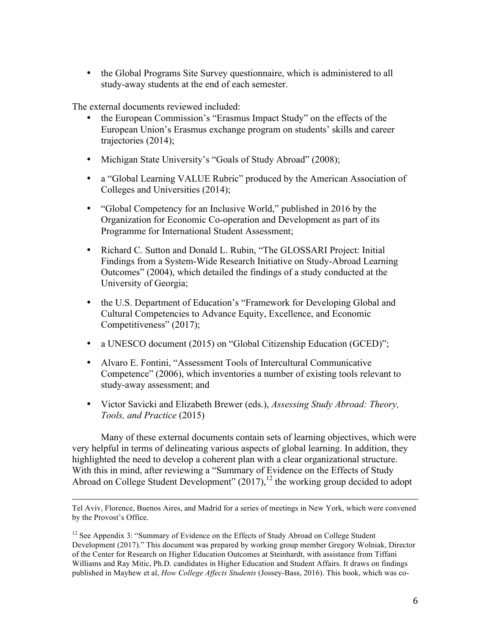• the Global Programs Site Survey questionnaire, which is administered to all study-away students at the end of each semester.

The external documents reviewed included:

- the European Commission's "Erasmus Impact Study" on the effects of the European Union's Erasmus exchange program on students' skills and career trajectories (2014);
- Michigan State University's "Goals of Study Abroad" (2008);
- a "Global Learning VALUE Rubric" produced by the American Association of Colleges and Universities (2014);
- "Global Competency for an Inclusive World," published in 2016 by the Organization for Economic Co-operation and Development as part of its Programme for International Student Assessment;
- Richard C. Sutton and Donald L. Rubin, "The GLOSSARI Project: Initial Findings from a System-Wide Research Initiative on Study-Abroad Learning Outcomes" (2004), which detailed the findings of a study conducted at the University of Georgia;
- the U.S. Department of Education's "Framework for Developing Global and Cultural Competencies to Advance Equity, Excellence, and Economic Competitiveness" (2017);
- a UNESCO document (2015) on "Global Citizenship Education (GCED)";
- Alvaro E. Fontini, "Assessment Tools of Intercultural Communicative Competence" (2006), which inventories a number of existing tools relevant to study-away assessment; and
- Victor Savicki and Elizabeth Brewer (eds.), *Assessing Study Abroad: Theory, Tools, and Practice* (2015)

Many of these external documents contain sets of learning objectives, which were very helpful in terms of delineating various aspects of global learning. In addition, they highlighted the need to develop a coherent plan with a clear organizational structure. With this in mind, after reviewing a "Summary of Evidence on the Effects of Study Abroad on College Student Development"  $(2017)$ ,<sup>12</sup> the working group decided to adopt

<sup>&</sup>lt;u> 1989 - Andrea San Andrea San Andrea San Andrea San Andrea San Andrea San Andrea San Andrea San Andrea San An</u> Tel Aviv, Florence, Buenos Aires, and Madrid for a series of meetings in New York, which were convened by the Provost's Office.

<sup>&</sup>lt;sup>12</sup> See Appendix 3: "Summary of Evidence on the Effects of Study Abroad on College Student Development (2017)." This document was prepared by working group member Gregory Wolniak, Director of the Center for Research on Higher Education Outcomes at Steinhardt, with assistance from Tiffani Williams and Ray Mitic, Ph.D. candidates in Higher Education and Student Affairs. It draws on findings published in Mayhew et al, *How College Affects Students* (Jossey-Bass, 2016). This book, which was co-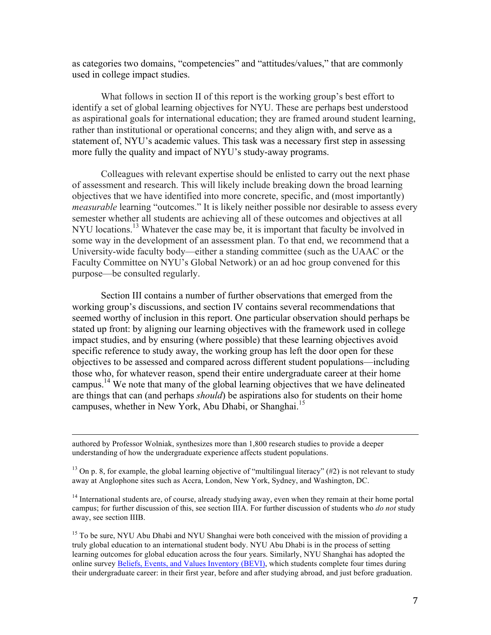as categories two domains, "competencies" and "attitudes/values," that are commonly used in college impact studies.

What follows in section II of this report is the working group's best effort to identify a set of global learning objectives for NYU. These are perhaps best understood as aspirational goals for international education; they are framed around student learning, rather than institutional or operational concerns; and they align with, and serve as a statement of, NYU's academic values. This task was a necessary first step in assessing more fully the quality and impact of NYU's study-away programs.

Colleagues with relevant expertise should be enlisted to carry out the next phase of assessment and research. This will likely include breaking down the broad learning objectives that we have identified into more concrete, specific, and (most importantly) *measurable* learning "outcomes." It is likely neither possible nor desirable to assess every semester whether all students are achieving all of these outcomes and objectives at all NYU locations.<sup>13</sup> Whatever the case may be, it is important that faculty be involved in some way in the development of an assessment plan. To that end, we recommend that a University-wide faculty body—either a standing committee (such as the UAAC or the Faculty Committee on NYU's Global Network) or an ad hoc group convened for this purpose—be consulted regularly.

Section III contains a number of further observations that emerged from the working group's discussions, and section IV contains several recommendations that seemed worthy of inclusion in this report. One particular observation should perhaps be stated up front: by aligning our learning objectives with the framework used in college impact studies, and by ensuring (where possible) that these learning objectives avoid specific reference to study away, the working group has left the door open for these objectives to be assessed and compared across different student populations—including those who, for whatever reason, spend their entire undergraduate career at their home campus.<sup>14</sup> We note that many of the global learning objectives that we have delineated are things that can (and perhaps *should*) be aspirations also for students on their home campuses, whether in New York, Abu Dhabi, or Shanghai.<sup>15</sup>

authored by Professor Wolniak, synthesizes more than 1,800 research studies to provide a deeper understanding of how the undergraduate experience affects student populations.

<sup>13</sup> On p. 8, for example, the global learning objective of "multilingual literacy" (#2) is not relevant to study away at Anglophone sites such as Accra, London, New York, Sydney, and Washington, DC.

<u> 1989 - Andrea Santa Andrea Andrea Andrea Andrea Andrea Andrea Andrea Andrea Andrea Andrea Andrea Andrea Andr</u>

<sup>14</sup> International students are, of course, already studying away, even when they remain at their home portal campus; for further discussion of this, see section IIIA. For further discussion of students who *do not* study away, see section IIIB.

<sup>15</sup> To be sure, NYU Abu Dhabi and NYU Shanghai were both conceived with the mission of providing a truly global education to an international student body. NYU Abu Dhabi is in the process of setting learning outcomes for global education across the four years. Similarly, NYU Shanghai has adopted the online survey Beliefs, Events, and Values Inventory (BEVI), which students complete four times during their undergraduate career: in their first year, before and after studying abroad, and just before graduation.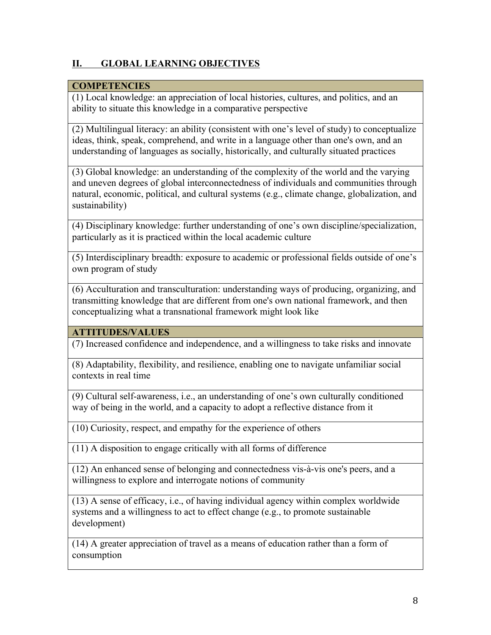# **II. GLOBAL LEARNING OBJECTIVES**

# **COMPETENCIES**

(1) Local knowledge: an appreciation of local histories, cultures, and politics, and an ability to situate this knowledge in a comparative perspective

(2) Multilingual literacy: an ability (consistent with one's level of study) to conceptualize ideas, think, speak, comprehend, and write in a language other than one's own, and an understanding of languages as socially, historically, and culturally situated practices

(3) Global knowledge: an understanding of the complexity of the world and the varying and uneven degrees of global interconnectedness of individuals and communities through natural, economic, political, and cultural systems (e.g., climate change, globalization, and sustainability)

(4) Disciplinary knowledge: further understanding of one's own discipline/specialization, particularly as it is practiced within the local academic culture

(5) Interdisciplinary breadth: exposure to academic or professional fields outside of one's own program of study

(6) Acculturation and transculturation: understanding ways of producing, organizing, and transmitting knowledge that are different from one's own national framework, and then conceptualizing what a transnational framework might look like

# **ATTITUDES/VALUES**

(7) Increased confidence and independence, and a willingness to take risks and innovate

(8) Adaptability, flexibility, and resilience, enabling one to navigate unfamiliar social contexts in real time

(9) Cultural self-awareness, i.e., an understanding of one's own culturally conditioned way of being in the world, and a capacity to adopt a reflective distance from it

(10) Curiosity, respect, and empathy for the experience of others

(11) A disposition to engage critically with all forms of difference

(12) An enhanced sense of belonging and connectedness vis-à-vis one's peers, and a willingness to explore and interrogate notions of community

(13) A sense of efficacy, i.e., of having individual agency within complex worldwide systems and a willingness to act to effect change (e.g., to promote sustainable development)

(14) A greater appreciation of travel as a means of education rather than a form of consumption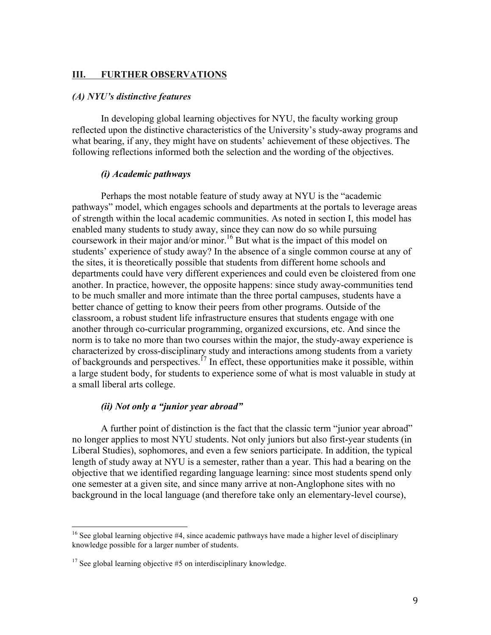#### **III. FURTHER OBSERVATIONS**

# *(A) NYU's distinctive features*

In developing global learning objectives for NYU, the faculty working group reflected upon the distinctive characteristics of the University's study-away programs and what bearing, if any, they might have on students' achievement of these objectives. The following reflections informed both the selection and the wording of the objectives.

#### *(i) Academic pathways*

Perhaps the most notable feature of study away at NYU is the "academic pathways" model, which engages schools and departments at the portals to leverage areas of strength within the local academic communities. As noted in section I, this model has enabled many students to study away, since they can now do so while pursuing coursework in their major and/or minor. <sup>16</sup> But what is the impact of this model on students' experience of study away? In the absence of a single common course at any of the sites, it is theoretically possible that students from different home schools and departments could have very different experiences and could even be cloistered from one another. In practice, however, the opposite happens: since study away-communities tend to be much smaller and more intimate than the three portal campuses, students have a better chance of getting to know their peers from other programs. Outside of the classroom, a robust student life infrastructure ensures that students engage with one another through co-curricular programming, organized excursions, etc. And since the norm is to take no more than two courses within the major, the study-away experience is characterized by cross-disciplinary study and interactions among students from a variety of backgrounds and perspectives.<sup>17</sup> In effect, these opportunities make it possible, within a large student body, for students to experience some of what is most valuable in study at a small liberal arts college.

### *(ii) Not only a "junior year abroad"*

A further point of distinction is the fact that the classic term "junior year abroad" no longer applies to most NYU students. Not only juniors but also first-year students (in Liberal Studies), sophomores, and even a few seniors participate. In addition, the typical length of study away at NYU is a semester, rather than a year. This had a bearing on the objective that we identified regarding language learning: since most students spend only one semester at a given site, and since many arrive at non-Anglophone sites with no background in the local language (and therefore take only an elementary-level course),

<sup>&</sup>lt;sup>16</sup> See global learning objective #4, since academic pathways have made a higher level of disciplinary knowledge possible for a larger number of students.

 $17$  See global learning objective #5 on interdisciplinary knowledge.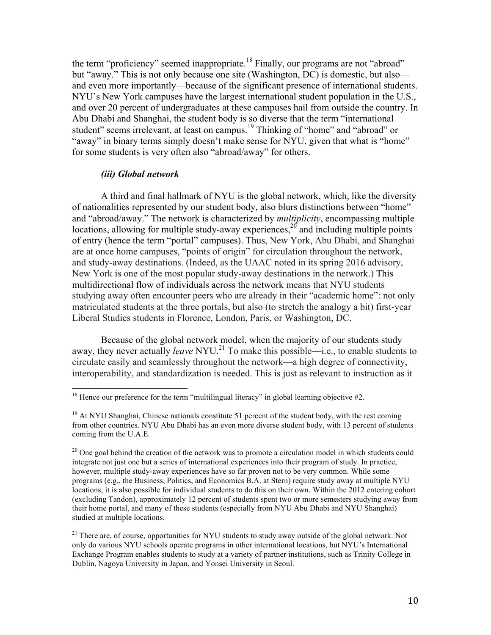the term "proficiency" seemed inappropriate.<sup>18</sup> Finally, our programs are not "abroad" but "away." This is not only because one site (Washington, DC) is domestic, but also and even more importantly—because of the significant presence of international students. NYU's New York campuses have the largest international student population in the U.S., and over 20 percent of undergraduates at these campuses hail from outside the country. In Abu Dhabi and Shanghai, the student body is so diverse that the term "international student" seems irrelevant, at least on campus.<sup>19</sup> Thinking of "home" and "abroad" or "away" in binary terms simply doesn't make sense for NYU, given that what is "home" for some students is very often also "abroad/away" for others.

#### *(iii) Global network*

A third and final hallmark of NYU is the global network, which, like the diversity of nationalities represented by our student body, also blurs distinctions between "home" and "abroad/away." The network is characterized by *multiplicity*, encompassing multiple locations, allowing for multiple study-away experiences,<sup>20</sup> and including multiple points of entry (hence the term "portal" campuses). Thus, New York, Abu Dhabi, and Shanghai are at once home campuses, "points of origin" for circulation throughout the network, and study-away destinations. (Indeed, as the UAAC noted in its spring 2016 advisory, New York is one of the most popular study-away destinations in the network.) This multidirectional flow of individuals across the network means that NYU students studying away often encounter peers who are already in their "academic home": not only matriculated students at the three portals, but also (to stretch the analogy a bit) first-year Liberal Studies students in Florence, London, Paris, or Washington, DC.

Because of the global network model, when the majority of our students study away, they never actually *leave* NYU.<sup>21</sup> To make this possible—i.e., to enable students to circulate easily and seamlessly throughout the network—a high degree of connectivity, interoperability, and standardization is needed. This is just as relevant to instruction as it

<sup>&</sup>lt;sup>18</sup> Hence our preference for the term "multilingual literacy" in global learning objective  $#2$ .

 $19$  At NYU Shanghai, Chinese nationals constitute 51 percent of the student body, with the rest coming from other countries. NYU Abu Dhabi has an even more diverse student body, with 13 percent of students coming from the U.A.E.

 $20$  One goal behind the creation of the network was to promote a circulation model in which students could integrate not just one but a series of international experiences into their program of study. In practice, however, multiple study-away experiences have so far proven not to be very common. While some programs (e.g., the Business, Politics, and Economics B.A. at Stern) require study away at multiple NYU locations, it is also possible for individual students to do this on their own. Within the 2012 entering cohort (excluding Tandon), approximately 12 percent of students spent two or more semesters studying away from their home portal, and many of these students (especially from NYU Abu Dhabi and NYU Shanghai) studied at multiple locations.

<sup>&</sup>lt;sup>21</sup> There are, of course, opportunities for NYU students to study away outside of the global network. Not only do various NYU schools operate programs in other international locations, but NYU's International Exchange Program enables students to study at a variety of partner institutions, such as Trinity College in Dublin, Nagoya University in Japan, and Yonsei University in Seoul.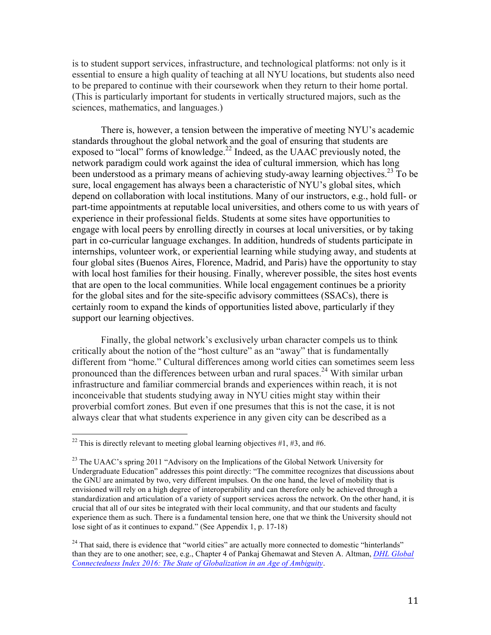is to student support services, infrastructure, and technological platforms: not only is it essential to ensure a high quality of teaching at all NYU locations, but students also need to be prepared to continue with their coursework when they return to their home portal. (This is particularly important for students in vertically structured majors, such as the sciences, mathematics, and languages.)

There is, however, a tension between the imperative of meeting NYU's academic standards throughout the global network and the goal of ensuring that students are exposed to "local" forms of knowledge.<sup>22</sup> Indeed, as the UAAC previously noted, the network paradigm could work against the idea of cultural immersion*,* which has long been understood as a primary means of achieving study-away learning objectives.<sup>23</sup> To be sure, local engagement has always been a characteristic of NYU's global sites, which depend on collaboration with local institutions. Many of our instructors, e.g., hold full- or part-time appointments at reputable local universities, and others come to us with years of experience in their professional fields. Students at some sites have opportunities to engage with local peers by enrolling directly in courses at local universities, or by taking part in co-curricular language exchanges. In addition, hundreds of students participate in internships, volunteer work, or experiential learning while studying away, and students at four global sites (Buenos Aires, Florence, Madrid, and Paris) have the opportunity to stay with local host families for their housing. Finally, wherever possible, the sites host events that are open to the local communities. While local engagement continues be a priority for the global sites and for the site-specific advisory committees (SSACs), there is certainly room to expand the kinds of opportunities listed above, particularly if they support our learning objectives.

Finally, the global network's exclusively urban character compels us to think critically about the notion of the "host culture" as an "away" that is fundamentally different from "home." Cultural differences among world cities can sometimes seem less pronounced than the differences between urban and rural spaces.<sup>24</sup> With similar urban infrastructure and familiar commercial brands and experiences within reach, it is not inconceivable that students studying away in NYU cities might stay within their proverbial comfort zones. But even if one presumes that this is not the case, it is not always clear that what students experience in any given city can be described as a

<sup>&</sup>lt;sup>22</sup> This is directly relevant to meeting global learning objectives #1, #3, and #6.

<sup>&</sup>lt;sup>23</sup> The UAAC's spring 2011 "Advisory on the Implications of the Global Network University for Undergraduate Education" addresses this point directly: "The committee recognizes that discussions about the GNU are animated by two, very different impulses. On the one hand, the level of mobility that is envisioned will rely on a high degree of interoperability and can therefore only be achieved through a standardization and articulation of a variety of support services across the network. On the other hand, it is crucial that all of our sites be integrated with their local community, and that our students and faculty experience them as such. There is a fundamental tension here, one that we think the University should not lose sight of as it continues to expand." (See Appendix 1, p. 17-18)

 $24$  That said, there is evidence that "world cities" are actually more connected to domestic "hinterlands" than they are to one another; see, e.g., Chapter 4 of Pankaj Ghemawat and Steven A. Altman, *DHL Global Connectedness Index 2016: The State of Globalization in an Age of Ambiguity*.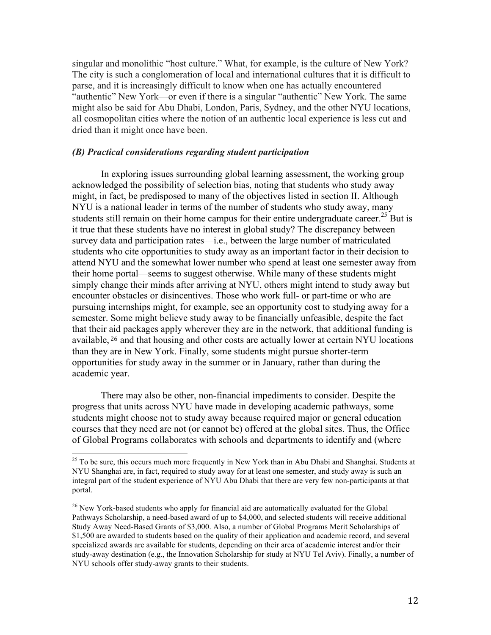singular and monolithic "host culture." What, for example, is the culture of New York? The city is such a conglomeration of local and international cultures that it is difficult to parse, and it is increasingly difficult to know when one has actually encountered "authentic" New York—or even if there is a singular "authentic" New York. The same might also be said for Abu Dhabi, London, Paris, Sydney, and the other NYU locations, all cosmopolitan cities where the notion of an authentic local experience is less cut and dried than it might once have been.

#### *(B) Practical considerations regarding student participation*

In exploring issues surrounding global learning assessment, the working group acknowledged the possibility of selection bias, noting that students who study away might, in fact, be predisposed to many of the objectives listed in section II. Although NYU is a national leader in terms of the number of students who study away, many students still remain on their home campus for their entire undergraduate career.<sup>25</sup> But is it true that these students have no interest in global study? The discrepancy between survey data and participation rates—i.e., between the large number of matriculated students who cite opportunities to study away as an important factor in their decision to attend NYU and the somewhat lower number who spend at least one semester away from their home portal—seems to suggest otherwise. While many of these students might simply change their minds after arriving at NYU, others might intend to study away but encounter obstacles or disincentives. Those who work full- or part-time or who are pursuing internships might, for example, see an opportunity cost to studying away for a semester. Some might believe study away to be financially unfeasible, despite the fact that their aid packages apply wherever they are in the network, that additional funding is available, <sup>26</sup> and that housing and other costs are actually lower at certain NYU locations than they are in New York. Finally, some students might pursue shorter-term opportunities for study away in the summer or in January, rather than during the academic year.

There may also be other, non-financial impediments to consider. Despite the progress that units across NYU have made in developing academic pathways, some students might choose not to study away because required major or general education courses that they need are not (or cannot be) offered at the global sites. Thus, the Office of Global Programs collaborates with schools and departments to identify and (where

<sup>&</sup>lt;sup>25</sup> To be sure, this occurs much more frequently in New York than in Abu Dhabi and Shanghai. Students at NYU Shanghai are, in fact, required to study away for at least one semester, and study away is such an integral part of the student experience of NYU Abu Dhabi that there are very few non-participants at that portal.

<sup>&</sup>lt;sup>26</sup> New York-based students who apply for financial aid are automatically evaluated for the Global Pathways Scholarship, a need-based award of up to \$4,000, and selected students will receive additional Study Away Need-Based Grants of \$3,000. Also, a number of Global Programs Merit Scholarships of \$1,500 are awarded to students based on the quality of their application and academic record, and several specialized awards are available for students, depending on their area of academic interest and/or their study-away destination (e.g., the Innovation Scholarship for study at NYU Tel Aviv). Finally, a number of NYU schools offer study-away grants to their students.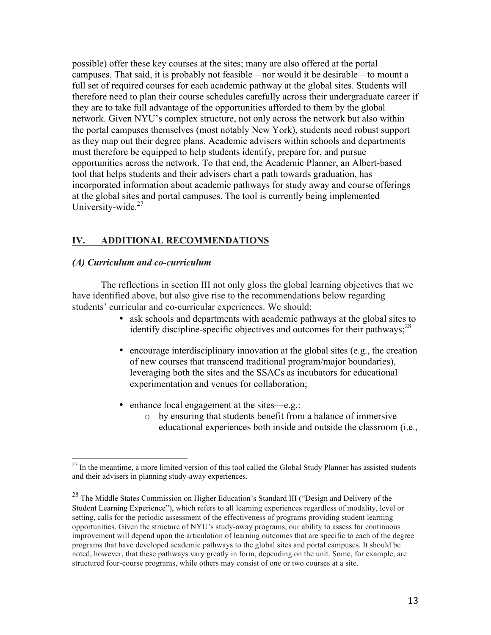possible) offer these key courses at the sites; many are also offered at the portal campuses. That said, it is probably not feasible—nor would it be desirable—to mount a full set of required courses for each academic pathway at the global sites. Students will therefore need to plan their course schedules carefully across their undergraduate career if they are to take full advantage of the opportunities afforded to them by the global network. Given NYU's complex structure, not only across the network but also within the portal campuses themselves (most notably New York), students need robust support as they map out their degree plans. Academic advisers within schools and departments must therefore be equipped to help students identify, prepare for, and pursue opportunities across the network. To that end, the Academic Planner, an Albert-based tool that helps students and their advisers chart a path towards graduation, has incorporated information about academic pathways for study away and course offerings at the global sites and portal campuses. The tool is currently being implemented University-wide.<sup>27</sup>

# **IV. ADDITIONAL RECOMMENDATIONS**

### *(A) Curriculum and co-curriculum*

The reflections in section III not only gloss the global learning objectives that we have identified above, but also give rise to the recommendations below regarding students' curricular and co-curricular experiences. We should:

- ask schools and departments with academic pathways at the global sites to identify discipline-specific objectives and outcomes for their pathways;<sup>28</sup>
- encourage interdisciplinary innovation at the global sites (e.g., the creation of new courses that transcend traditional program/major boundaries), leveraging both the sites and the SSACs as incubators for educational experimentation and venues for collaboration;
- enhance local engagement at the sites—e.g.:
	- o by ensuring that students benefit from a balance of immersive educational experiences both inside and outside the classroom (i.e.,

 $^{27}$  In the meantime, a more limited version of this tool called the Global Study Planner has assisted students and their advisers in planning study-away experiences.

<sup>&</sup>lt;sup>28</sup> The Middle States Commission on Higher Education's Standard III ("Design and Delivery of the Student Learning Experience"), which refers to all learning experiences regardless of modality, level or setting, calls for the periodic assessment of the effectiveness of programs providing student learning opportunities. Given the structure of NYU's study-away programs, our ability to assess for continuous improvement will depend upon the articulation of learning outcomes that are specific to each of the degree programs that have developed academic pathways to the global sites and portal campuses. It should be noted, however, that these pathways vary greatly in form, depending on the unit. Some, for example, are structured four-course programs, while others may consist of one or two courses at a site.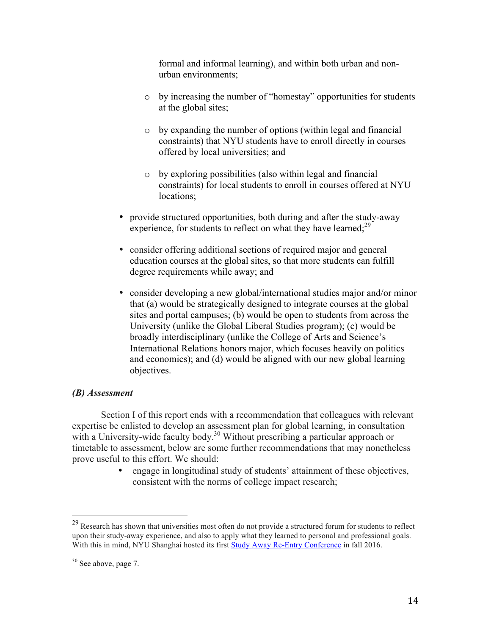formal and informal learning), and within both urban and nonurban environments;

- o by increasing the number of "homestay" opportunities for students at the global sites;
- o by expanding the number of options (within legal and financial constraints) that NYU students have to enroll directly in courses offered by local universities; and
- o by exploring possibilities (also within legal and financial constraints) for local students to enroll in courses offered at NYU locations;
- provide structured opportunities, both during and after the study-away experience, for students to reflect on what they have learned;<sup>29</sup>
- consider offering additional sections of required major and general education courses at the global sites, so that more students can fulfill degree requirements while away; and
- consider developing a new global/international studies major and/or minor that (a) would be strategically designed to integrate courses at the global sites and portal campuses; (b) would be open to students from across the University (unlike the Global Liberal Studies program); (c) would be broadly interdisciplinary (unlike the College of Arts and Science's International Relations honors major, which focuses heavily on politics and economics); and (d) would be aligned with our new global learning objectives.

### *(B) Assessment*

Section I of this report ends with a recommendation that colleagues with relevant expertise be enlisted to develop an assessment plan for global learning, in consultation with a University-wide faculty body.<sup>30</sup> Without prescribing a particular approach or timetable to assessment, below are some further recommendations that may nonetheless prove useful to this effort. We should:

> • engage in longitudinal study of students' attainment of these objectives, consistent with the norms of college impact research;

<sup>&</sup>lt;sup>29</sup> Research has shown that universities most often do not provide a structured forum for students to reflect upon their study-away experience, and also to apply what they learned to personal and professional goals. With this in mind, NYU Shanghai hosted its first Study Away Re-Entry Conference in fall 2016.

 $30$  See above, page 7.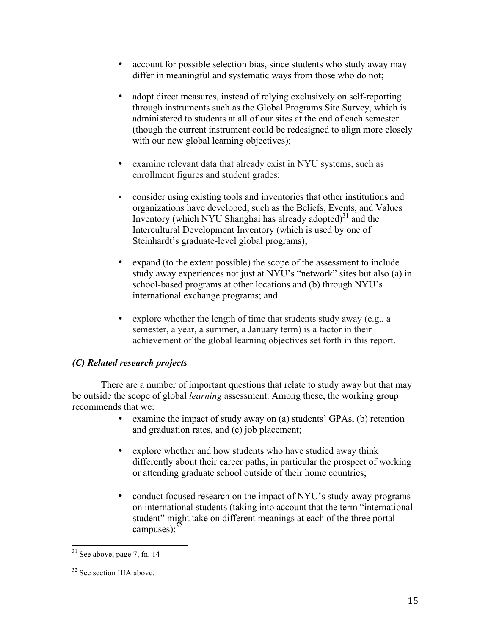- account for possible selection bias, since students who study away may differ in meaningful and systematic ways from those who do not;
- adopt direct measures, instead of relying exclusively on self-reporting through instruments such as the Global Programs Site Survey, which is administered to students at all of our sites at the end of each semester (though the current instrument could be redesigned to align more closely with our new global learning objectives);
- examine relevant data that already exist in NYU systems, such as enrollment figures and student grades;
- consider using existing tools and inventories that other institutions and organizations have developed, such as the Beliefs, Events, and Values Inventory (which NYU Shanghai has already adopted) $31$  and the Intercultural Development Inventory (which is used by one of Steinhardt's graduate-level global programs);
- expand (to the extent possible) the scope of the assessment to include study away experiences not just at NYU's "network" sites but also (a) in school-based programs at other locations and (b) through NYU's international exchange programs; and
- explore whether the length of time that students study away (e.g., a semester, a year, a summer, a January term) is a factor in their achievement of the global learning objectives set forth in this report.

# *(C) Related research projects*

There are a number of important questions that relate to study away but that may be outside the scope of global *learning* assessment. Among these, the working group recommends that we:

- examine the impact of study away on (a) students' GPAs, (b) retention and graduation rates, and (c) job placement;
- explore whether and how students who have studied away think differently about their career paths, in particular the prospect of working or attending graduate school outside of their home countries;
- conduct focused research on the impact of NYU's study-away programs on international students (taking into account that the term "international student" might take on different meanings at each of the three portal campuses); $^{32}$

 $31$  See above, page 7, fn. 14

<sup>&</sup>lt;sup>32</sup> See section IIIA above.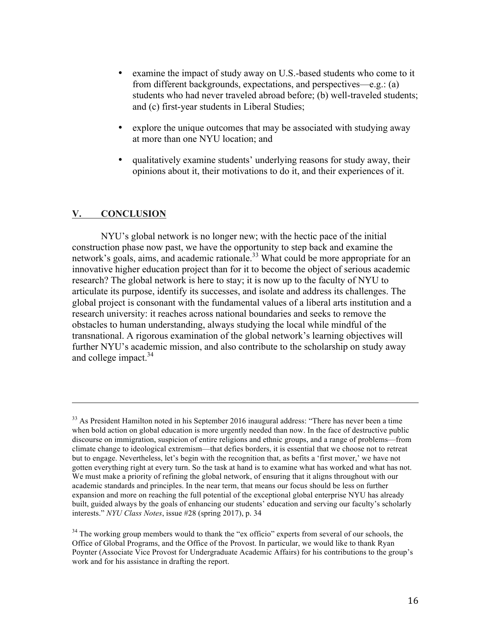- examine the impact of study away on U.S.-based students who come to it from different backgrounds, expectations, and perspectives—e.g.: (a) students who had never traveled abroad before; (b) well-traveled students; and (c) first-year students in Liberal Studies;
- explore the unique outcomes that may be associated with studying away at more than one NYU location; and
- qualitatively examine students' underlying reasons for study away, their opinions about it, their motivations to do it, and their experiences of it.

# **V. CONCLUSION**

NYU's global network is no longer new; with the hectic pace of the initial construction phase now past, we have the opportunity to step back and examine the network's goals, aims, and academic rationale.<sup>33</sup> What could be more appropriate for an innovative higher education project than for it to become the object of serious academic research? The global network is here to stay; it is now up to the faculty of NYU to articulate its purpose, identify its successes, and isolate and address its challenges. The global project is consonant with the fundamental values of a liberal arts institution and a research university: it reaches across national boundaries and seeks to remove the obstacles to human understanding, always studying the local while mindful of the transnational. A rigorous examination of the global network's learning objectives will further NYU's academic mission, and also contribute to the scholarship on study away and college impact. $34$ 

<u> 1989 - Andrea Santa Andrea Andrea Andrea Andrea Andrea Andrea Andrea Andrea Andrea Andrea Andrea Andrea Andr</u>

 $33$  As President Hamilton noted in his September 2016 inaugural address: "There has never been a time when bold action on global education is more urgently needed than now. In the face of destructive public discourse on immigration, suspicion of entire religions and ethnic groups, and a range of problems—from climate change to ideological extremism—that defies borders, it is essential that we choose not to retreat but to engage. Nevertheless, let's begin with the recognition that, as befits a 'first mover,' we have not gotten everything right at every turn. So the task at hand is to examine what has worked and what has not. We must make a priority of refining the global network, of ensuring that it aligns throughout with our academic standards and principles. In the near term, that means our focus should be less on further expansion and more on reaching the full potential of the exceptional global enterprise NYU has already built, guided always by the goals of enhancing our students' education and serving our faculty's scholarly interests." *NYU Class Notes*, issue #28 (spring 2017), p. 34

<sup>&</sup>lt;sup>34</sup> The working group members would to thank the "ex officio" experts from several of our schools, the Office of Global Programs, and the Office of the Provost. In particular, we would like to thank Ryan Poynter (Associate Vice Provost for Undergraduate Academic Affairs) for his contributions to the group's work and for his assistance in drafting the report.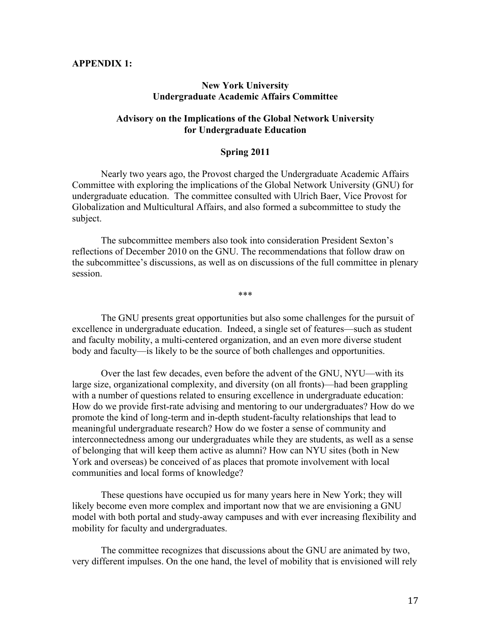#### **APPENDIX 1:**

#### **New York University Undergraduate Academic Affairs Committee**

### **Advisory on the Implications of the Global Network University for Undergraduate Education**

#### **Spring 2011**

Nearly two years ago, the Provost charged the Undergraduate Academic Affairs Committee with exploring the implications of the Global Network University (GNU) for undergraduate education. The committee consulted with Ulrich Baer, Vice Provost for Globalization and Multicultural Affairs, and also formed a subcommittee to study the subject.

The subcommittee members also took into consideration President Sexton's reflections of December 2010 on the GNU. The recommendations that follow draw on the subcommittee's discussions, as well as on discussions of the full committee in plenary session.

\*\*\*

The GNU presents great opportunities but also some challenges for the pursuit of excellence in undergraduate education. Indeed, a single set of features—such as student and faculty mobility, a multi-centered organization, and an even more diverse student body and faculty—is likely to be the source of both challenges and opportunities.

Over the last few decades, even before the advent of the GNU, NYU—with its large size, organizational complexity, and diversity (on all fronts)—had been grappling with a number of questions related to ensuring excellence in undergraduate education: How do we provide first-rate advising and mentoring to our undergraduates? How do we promote the kind of long-term and in-depth student-faculty relationships that lead to meaningful undergraduate research? How do we foster a sense of community and interconnectedness among our undergraduates while they are students, as well as a sense of belonging that will keep them active as alumni? How can NYU sites (both in New York and overseas) be conceived of as places that promote involvement with local communities and local forms of knowledge?

These questions have occupied us for many years here in New York; they will likely become even more complex and important now that we are envisioning a GNU model with both portal and study-away campuses and with ever increasing flexibility and mobility for faculty and undergraduates.

The committee recognizes that discussions about the GNU are animated by two, very different impulses. On the one hand, the level of mobility that is envisioned will rely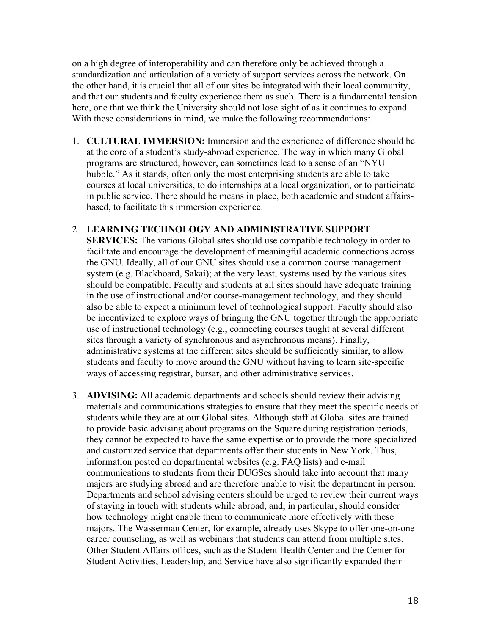on a high degree of interoperability and can therefore only be achieved through a standardization and articulation of a variety of support services across the network. On the other hand, it is crucial that all of our sites be integrated with their local community, and that our students and faculty experience them as such. There is a fundamental tension here, one that we think the University should not lose sight of as it continues to expand. With these considerations in mind, we make the following recommendations:

1. **CULTURAL IMMERSION:** Immersion and the experience of difference should be at the core of a student's study-abroad experience. The way in which many Global programs are structured, however, can sometimes lead to a sense of an "NYU bubble." As it stands, often only the most enterprising students are able to take courses at local universities, to do internships at a local organization, or to participate in public service. There should be means in place, both academic and student affairsbased, to facilitate this immersion experience.

### 2. **LEARNING TECHNOLOGY AND ADMINISTRATIVE SUPPORT**

**SERVICES:** The various Global sites should use compatible technology in order to facilitate and encourage the development of meaningful academic connections across the GNU. Ideally, all of our GNU sites should use a common course management system (e.g. Blackboard, Sakai); at the very least, systems used by the various sites should be compatible. Faculty and students at all sites should have adequate training in the use of instructional and/or course-management technology, and they should also be able to expect a minimum level of technological support. Faculty should also be incentivized to explore ways of bringing the GNU together through the appropriate use of instructional technology (e.g., connecting courses taught at several different sites through a variety of synchronous and asynchronous means). Finally, administrative systems at the different sites should be sufficiently similar, to allow students and faculty to move around the GNU without having to learn site-specific ways of accessing registrar, bursar, and other administrative services.

3. **ADVISING:** All academic departments and schools should review their advising materials and communications strategies to ensure that they meet the specific needs of students while they are at our Global sites. Although staff at Global sites are trained to provide basic advising about programs on the Square during registration periods, they cannot be expected to have the same expertise or to provide the more specialized and customized service that departments offer their students in New York. Thus, information posted on departmental websites (e.g. FAQ lists) and e-mail communications to students from their DUGSes should take into account that many majors are studying abroad and are therefore unable to visit the department in person. Departments and school advising centers should be urged to review their current ways of staying in touch with students while abroad, and, in particular, should consider how technology might enable them to communicate more effectively with these majors. The Wasserman Center, for example, already uses Skype to offer one-on-one career counseling, as well as webinars that students can attend from multiple sites. Other Student Affairs offices, such as the Student Health Center and the Center for Student Activities, Leadership, and Service have also significantly expanded their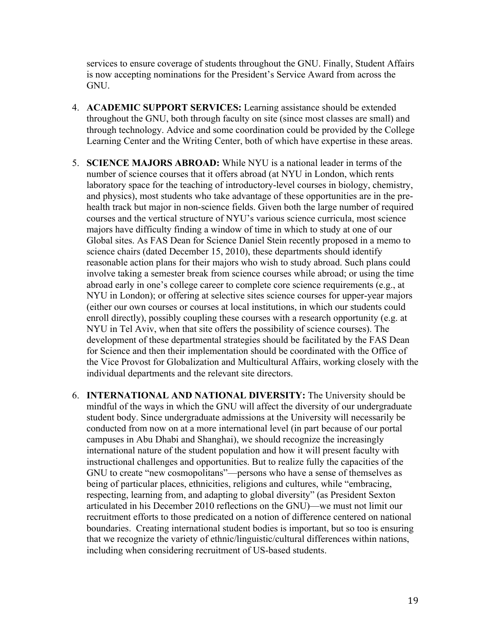services to ensure coverage of students throughout the GNU. Finally, Student Affairs is now accepting nominations for the President's Service Award from across the GNU.

- 4. **ACADEMIC SUPPORT SERVICES:** Learning assistance should be extended throughout the GNU, both through faculty on site (since most classes are small) and through technology. Advice and some coordination could be provided by the College Learning Center and the Writing Center, both of which have expertise in these areas.
- 5. **SCIENCE MAJORS ABROAD:** While NYU is a national leader in terms of the number of science courses that it offers abroad (at NYU in London, which rents laboratory space for the teaching of introductory-level courses in biology, chemistry, and physics), most students who take advantage of these opportunities are in the prehealth track but major in non-science fields. Given both the large number of required courses and the vertical structure of NYU's various science curricula, most science majors have difficulty finding a window of time in which to study at one of our Global sites. As FAS Dean for Science Daniel Stein recently proposed in a memo to science chairs (dated December 15, 2010), these departments should identify reasonable action plans for their majors who wish to study abroad. Such plans could involve taking a semester break from science courses while abroad; or using the time abroad early in one's college career to complete core science requirements (e.g., at NYU in London); or offering at selective sites science courses for upper-year majors (either our own courses or courses at local institutions, in which our students could enroll directly), possibly coupling these courses with a research opportunity (e.g. at NYU in Tel Aviv, when that site offers the possibility of science courses). The development of these departmental strategies should be facilitated by the FAS Dean for Science and then their implementation should be coordinated with the Office of the Vice Provost for Globalization and Multicultural Affairs, working closely with the individual departments and the relevant site directors.
- 6. **INTERNATIONAL AND NATIONAL DIVERSITY:** The University should be mindful of the ways in which the GNU will affect the diversity of our undergraduate student body. Since undergraduate admissions at the University will necessarily be conducted from now on at a more international level (in part because of our portal campuses in Abu Dhabi and Shanghai), we should recognize the increasingly international nature of the student population and how it will present faculty with instructional challenges and opportunities. But to realize fully the capacities of the GNU to create "new cosmopolitans"—persons who have a sense of themselves as being of particular places, ethnicities, religions and cultures, while "embracing, respecting, learning from, and adapting to global diversity" (as President Sexton articulated in his December 2010 reflections on the GNU)—we must not limit our recruitment efforts to those predicated on a notion of difference centered on national boundaries. Creating international student bodies is important, but so too is ensuring that we recognize the variety of ethnic/linguistic/cultural differences within nations, including when considering recruitment of US-based students.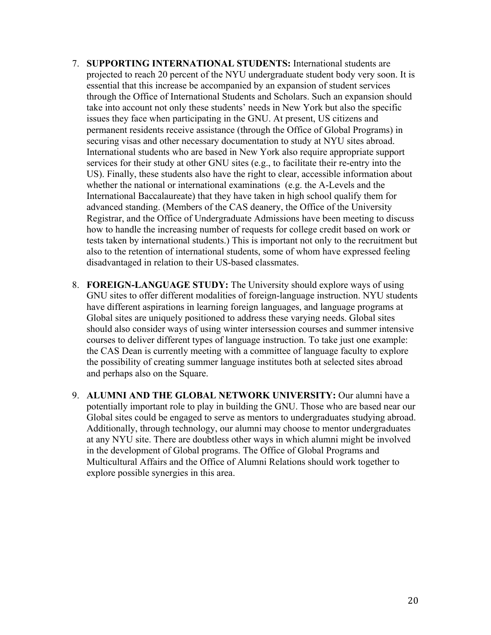- 7. **SUPPORTING INTERNATIONAL STUDENTS:** International students are projected to reach 20 percent of the NYU undergraduate student body very soon. It is essential that this increase be accompanied by an expansion of student services through the Office of International Students and Scholars. Such an expansion should take into account not only these students' needs in New York but also the specific issues they face when participating in the GNU. At present, US citizens and permanent residents receive assistance (through the Office of Global Programs) in securing visas and other necessary documentation to study at NYU sites abroad. International students who are based in New York also require appropriate support services for their study at other GNU sites (e.g., to facilitate their re-entry into the US). Finally, these students also have the right to clear, accessible information about whether the national or international examinations (e.g. the A-Levels and the International Baccalaureate) that they have taken in high school qualify them for advanced standing. (Members of the CAS deanery, the Office of the University Registrar, and the Office of Undergraduate Admissions have been meeting to discuss how to handle the increasing number of requests for college credit based on work or tests taken by international students.) This is important not only to the recruitment but also to the retention of international students, some of whom have expressed feeling disadvantaged in relation to their US-based classmates.
- 8. **FOREIGN-LANGUAGE STUDY:** The University should explore ways of using GNU sites to offer different modalities of foreign-language instruction. NYU students have different aspirations in learning foreign languages, and language programs at Global sites are uniquely positioned to address these varying needs. Global sites should also consider ways of using winter intersession courses and summer intensive courses to deliver different types of language instruction. To take just one example: the CAS Dean is currently meeting with a committee of language faculty to explore the possibility of creating summer language institutes both at selected sites abroad and perhaps also on the Square.
- 9. **ALUMNI AND THE GLOBAL NETWORK UNIVERSITY:** Our alumni have a potentially important role to play in building the GNU. Those who are based near our Global sites could be engaged to serve as mentors to undergraduates studying abroad. Additionally, through technology, our alumni may choose to mentor undergraduates at any NYU site. There are doubtless other ways in which alumni might be involved in the development of Global programs. The Office of Global Programs and Multicultural Affairs and the Office of Alumni Relations should work together to explore possible synergies in this area.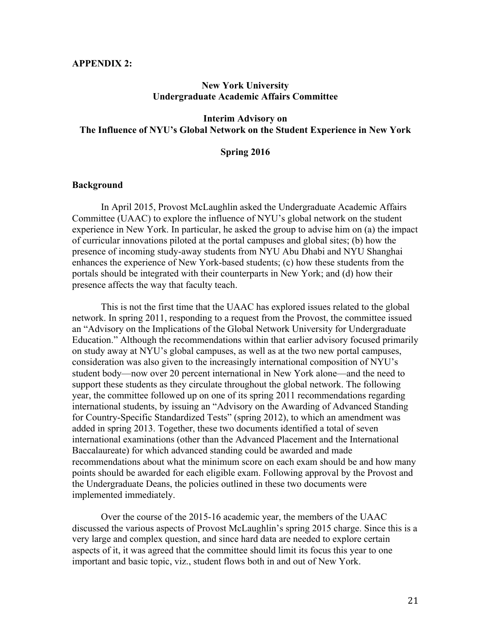#### **APPENDIX 2:**

#### **New York University Undergraduate Academic Affairs Committee**

### **Interim Advisory on The Influence of NYU's Global Network on the Student Experience in New York**

#### **Spring 2016**

#### **Background**

In April 2015, Provost McLaughlin asked the Undergraduate Academic Affairs Committee (UAAC) to explore the influence of NYU's global network on the student experience in New York. In particular, he asked the group to advise him on (a) the impact of curricular innovations piloted at the portal campuses and global sites; (b) how the presence of incoming study-away students from NYU Abu Dhabi and NYU Shanghai enhances the experience of New York-based students; (c) how these students from the portals should be integrated with their counterparts in New York; and (d) how their presence affects the way that faculty teach.

This is not the first time that the UAAC has explored issues related to the global network. In spring 2011, responding to a request from the Provost, the committee issued an "Advisory on the Implications of the Global Network University for Undergraduate Education." Although the recommendations within that earlier advisory focused primarily on study away at NYU's global campuses, as well as at the two new portal campuses, consideration was also given to the increasingly international composition of NYU's student body—now over 20 percent international in New York alone—and the need to support these students as they circulate throughout the global network. The following year, the committee followed up on one of its spring 2011 recommendations regarding international students, by issuing an "Advisory on the Awarding of Advanced Standing for Country-Specific Standardized Tests" (spring 2012), to which an amendment was added in spring 2013. Together, these two documents identified a total of seven international examinations (other than the Advanced Placement and the International Baccalaureate) for which advanced standing could be awarded and made recommendations about what the minimum score on each exam should be and how many points should be awarded for each eligible exam. Following approval by the Provost and the Undergraduate Deans, the policies outlined in these two documents were implemented immediately.

Over the course of the 2015-16 academic year, the members of the UAAC discussed the various aspects of Provost McLaughlin's spring 2015 charge. Since this is a very large and complex question, and since hard data are needed to explore certain aspects of it, it was agreed that the committee should limit its focus this year to one important and basic topic, viz., student flows both in and out of New York.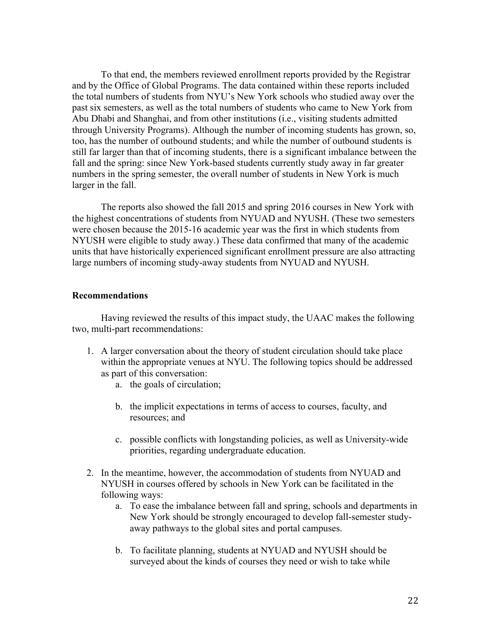To that end, the members reviewed enrollment reports provided by the Registrar and by the Office of Global Programs. The data contained within these reports included the total numbers of students from NYU's New York schools who studied away over the past six semesters, as well as the total numbers of students who came to New York from Abu Dhabi and Shanghai, and from other institutions (i.e., visiting students admitted through University Programs). Although the number of incoming students has grown, so, too, has the number of outbound students; and while the number of outbound students is still far larger than that of incoming students, there is a significant imbalance between the fall and the spring: since New York-based students currently study away in far greater numbers in the spring semester, the overall number of students in New York is much larger in the fall.

The reports also showed the fall 2015 and spring 2016 courses in New York with the highest concentrations of students from NYUAD and NYUSH. (These two semesters were chosen because the 2015-16 academic year was the first in which students from NYUSH were eligible to study away.) These data confirmed that many of the academic units that have historically experienced significant enrollment pressure are also attracting large numbers of incoming study-away students from NYUAD and NYUSH.

### **Recommendations**

Having reviewed the results of this impact study, the UAAC makes the following two, multi-part recommendations:

- 1. A larger conversation about the theory of student circulation should take place within the appropriate venues at NYU. The following topics should be addressed as part of this conversation:
	- a. the goals of circulation;
	- b. the implicit expectations in terms of access to courses, faculty, and resources; and
	- c. possible conflicts with longstanding policies, as well as University-wide priorities, regarding undergraduate education.
- 2. In the meantime, however, the accommodation of students from NYUAD and NYUSH in courses offered by schools in New York can be facilitated in the following ways:
	- a. To ease the imbalance between fall and spring, schools and departments in New York should be strongly encouraged to develop fall-semester studyaway pathways to the global sites and portal campuses.
	- b. To facilitate planning, students at NYUAD and NYUSH should be surveyed about the kinds of courses they need or wish to take while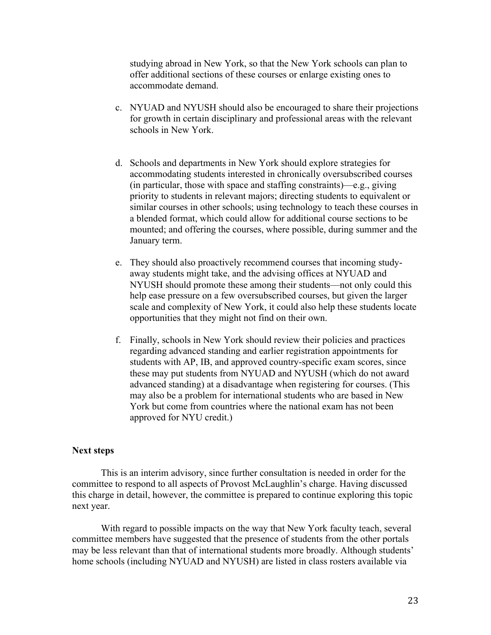studying abroad in New York, so that the New York schools can plan to offer additional sections of these courses or enlarge existing ones to accommodate demand.

- c. NYUAD and NYUSH should also be encouraged to share their projections for growth in certain disciplinary and professional areas with the relevant schools in New York.
- d. Schools and departments in New York should explore strategies for accommodating students interested in chronically oversubscribed courses (in particular, those with space and staffing constraints)—e.g., giving priority to students in relevant majors; directing students to equivalent or similar courses in other schools; using technology to teach these courses in a blended format, which could allow for additional course sections to be mounted; and offering the courses, where possible, during summer and the January term.
- e. They should also proactively recommend courses that incoming studyaway students might take, and the advising offices at NYUAD and NYUSH should promote these among their students—not only could this help ease pressure on a few oversubscribed courses, but given the larger scale and complexity of New York, it could also help these students locate opportunities that they might not find on their own.
- f. Finally, schools in New York should review their policies and practices regarding advanced standing and earlier registration appointments for students with AP, IB, and approved country-specific exam scores, since these may put students from NYUAD and NYUSH (which do not award advanced standing) at a disadvantage when registering for courses. (This may also be a problem for international students who are based in New York but come from countries where the national exam has not been approved for NYU credit.)

#### **Next steps**

This is an interim advisory, since further consultation is needed in order for the committee to respond to all aspects of Provost McLaughlin's charge. Having discussed this charge in detail, however, the committee is prepared to continue exploring this topic next year.

With regard to possible impacts on the way that New York faculty teach, several committee members have suggested that the presence of students from the other portals may be less relevant than that of international students more broadly. Although students' home schools (including NYUAD and NYUSH) are listed in class rosters available via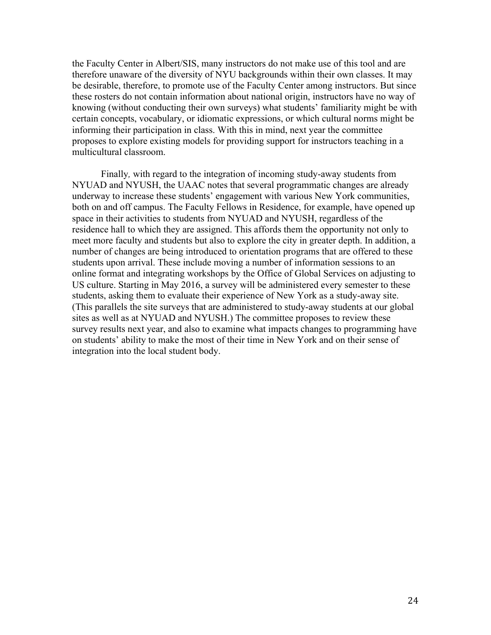the Faculty Center in Albert/SIS, many instructors do not make use of this tool and are therefore unaware of the diversity of NYU backgrounds within their own classes. It may be desirable, therefore, to promote use of the Faculty Center among instructors. But since these rosters do not contain information about national origin, instructors have no way of knowing (without conducting their own surveys) what students' familiarity might be with certain concepts, vocabulary, or idiomatic expressions, or which cultural norms might be informing their participation in class. With this in mind, next year the committee proposes to explore existing models for providing support for instructors teaching in a multicultural classroom.

Finally*,* with regard to the integration of incoming study-away students from NYUAD and NYUSH, the UAAC notes that several programmatic changes are already underway to increase these students' engagement with various New York communities, both on and off campus. The Faculty Fellows in Residence, for example, have opened up space in their activities to students from NYUAD and NYUSH, regardless of the residence hall to which they are assigned. This affords them the opportunity not only to meet more faculty and students but also to explore the city in greater depth. In addition, a number of changes are being introduced to orientation programs that are offered to these students upon arrival. These include moving a number of information sessions to an online format and integrating workshops by the Office of Global Services on adjusting to US culture. Starting in May 2016, a survey will be administered every semester to these students, asking them to evaluate their experience of New York as a study-away site. (This parallels the site surveys that are administered to study-away students at our global sites as well as at NYUAD and NYUSH.) The committee proposes to review these survey results next year, and also to examine what impacts changes to programming have on students' ability to make the most of their time in New York and on their sense of integration into the local student body.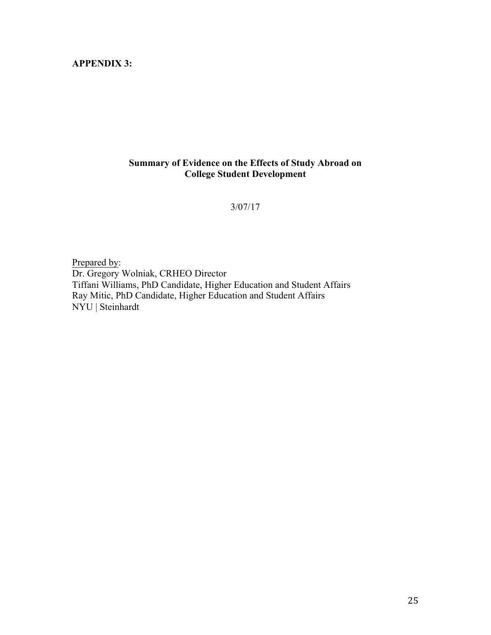# **APPENDIX 3:**

# **Summary of Evidence on the Effects of Study Abroad on College Student Development**

#### 3/07/17

Prepared by: Dr. Gregory Wolniak, CRHEO Director Tiffani Williams, PhD Candidate, Higher Education and Student Affairs Ray Mitic, PhD Candidate, Higher Education and Student Affairs NYU | Steinhardt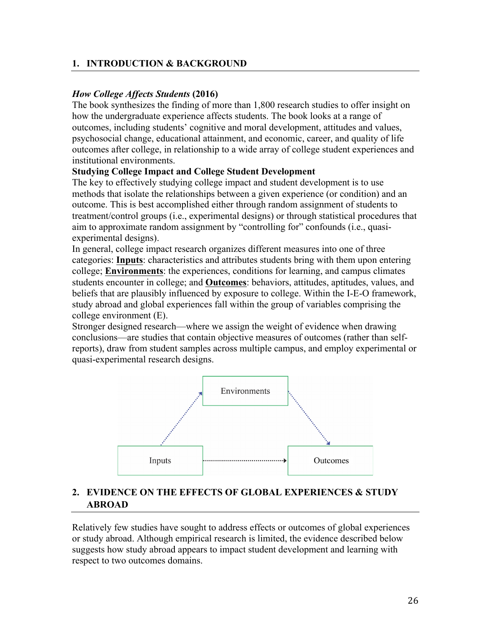# **1. INTRODUCTION & BACKGROUND**

### *How College Affects Students* **(2016)**

The book synthesizes the finding of more than 1,800 research studies to offer insight on how the undergraduate experience affects students. The book looks at a range of outcomes, including students' cognitive and moral development, attitudes and values, psychosocial change, educational attainment, and economic, career, and quality of life outcomes after college, in relationship to a wide array of college student experiences and institutional environments.

### **Studying College Impact and College Student Development**

The key to effectively studying college impact and student development is to use methods that isolate the relationships between a given experience (or condition) and an outcome. This is best accomplished either through random assignment of students to treatment/control groups (i.e., experimental designs) or through statistical procedures that aim to approximate random assignment by "controlling for" confounds (i.e., quasiexperimental designs).

In general, college impact research organizes different measures into one of three categories: **Inputs**: characteristics and attributes students bring with them upon entering college; **Environments**: the experiences, conditions for learning, and campus climates students encounter in college; and **Outcomes**: behaviors, attitudes, aptitudes, values, and beliefs that are plausibly influenced by exposure to college. Within the I-E-O framework, study abroad and global experiences fall within the group of variables comprising the college environment (E).

Stronger designed research—where we assign the weight of evidence when drawing conclusions—are studies that contain objective measures of outcomes (rather than selfreports), draw from student samples across multiple campus, and employ experimental or quasi-experimental research designs.



# **2. EVIDENCE ON THE EFFECTS OF GLOBAL EXPERIENCES & STUDY ABROAD**

Relatively few studies have sought to address effects or outcomes of global experiences or study abroad. Although empirical research is limited, the evidence described below suggests how study abroad appears to impact student development and learning with respect to two outcomes domains.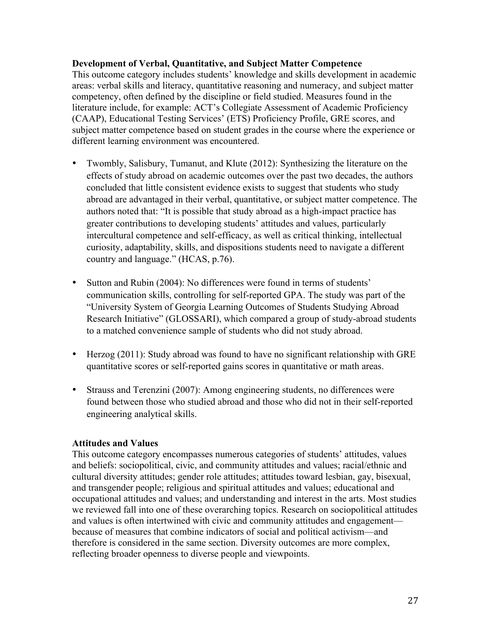### **Development of Verbal, Quantitative, and Subject Matter Competence**

This outcome category includes students' knowledge and skills development in academic areas: verbal skills and literacy, quantitative reasoning and numeracy, and subject matter competency, often defined by the discipline or field studied. Measures found in the literature include, for example: ACT's Collegiate Assessment of Academic Proficiency (CAAP), Educational Testing Services' (ETS) Proficiency Profile, GRE scores, and subject matter competence based on student grades in the course where the experience or different learning environment was encountered.

- Twombly, Salisbury, Tumanut, and Klute (2012): Synthesizing the literature on the effects of study abroad on academic outcomes over the past two decades, the authors concluded that little consistent evidence exists to suggest that students who study abroad are advantaged in their verbal, quantitative, or subject matter competence. The authors noted that: "It is possible that study abroad as a high-impact practice has greater contributions to developing students' attitudes and values, particularly intercultural competence and self-efficacy, as well as critical thinking, intellectual curiosity, adaptability, skills, and dispositions students need to navigate a different country and language." (HCAS, p.76).
- Sutton and Rubin (2004): No differences were found in terms of students' communication skills, controlling for self-reported GPA. The study was part of the "University System of Georgia Learning Outcomes of Students Studying Abroad Research Initiative" (GLOSSARI), which compared a group of study-abroad students to a matched convenience sample of students who did not study abroad.
- Herzog (2011): Study abroad was found to have no significant relationship with GRE quantitative scores or self-reported gains scores in quantitative or math areas.
- Strauss and Terenzini (2007): Among engineering students, no differences were found between those who studied abroad and those who did not in their self-reported engineering analytical skills.

# **Attitudes and Values**

This outcome category encompasses numerous categories of students' attitudes, values and beliefs: sociopolitical, civic, and community attitudes and values; racial/ethnic and cultural diversity attitudes; gender role attitudes; attitudes toward lesbian, gay, bisexual, and transgender people; religious and spiritual attitudes and values; educational and occupational attitudes and values; and understanding and interest in the arts. Most studies we reviewed fall into one of these overarching topics. Research on sociopolitical attitudes and values is often intertwined with civic and community attitudes and engagement because of measures that combine indicators of social and political activism—and therefore is considered in the same section. Diversity outcomes are more complex, reflecting broader openness to diverse people and viewpoints.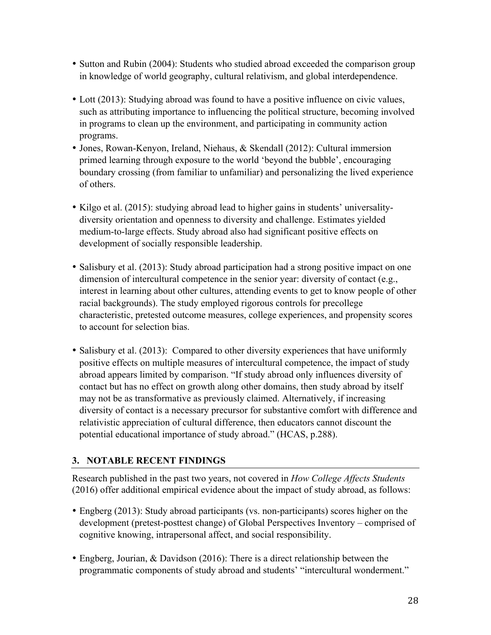- Sutton and Rubin (2004): Students who studied abroad exceeded the comparison group in knowledge of world geography, cultural relativism, and global interdependence.
- Lott (2013): Studying abroad was found to have a positive influence on civic values, such as attributing importance to influencing the political structure, becoming involved in programs to clean up the environment, and participating in community action programs.
- Jones, Rowan-Kenyon, Ireland, Niehaus, & Skendall (2012): Cultural immersion primed learning through exposure to the world 'beyond the bubble', encouraging boundary crossing (from familiar to unfamiliar) and personalizing the lived experience of others.
- Kilgo et al. (2015): studying abroad lead to higher gains in students' universalitydiversity orientation and openness to diversity and challenge. Estimates yielded medium-to-large effects. Study abroad also had significant positive effects on development of socially responsible leadership.
- Salisbury et al. (2013): Study abroad participation had a strong positive impact on one dimension of intercultural competence in the senior year: diversity of contact (e.g., interest in learning about other cultures, attending events to get to know people of other racial backgrounds). The study employed rigorous controls for precollege characteristic, pretested outcome measures, college experiences, and propensity scores to account for selection bias.
- Salisbury et al. (2013): Compared to other diversity experiences that have uniformly positive effects on multiple measures of intercultural competence, the impact of study abroad appears limited by comparison. "If study abroad only influences diversity of contact but has no effect on growth along other domains, then study abroad by itself may not be as transformative as previously claimed. Alternatively, if increasing diversity of contact is a necessary precursor for substantive comfort with difference and relativistic appreciation of cultural difference, then educators cannot discount the potential educational importance of study abroad." (HCAS, p.288).

# **3. NOTABLE RECENT FINDINGS**

Research published in the past two years, not covered in *How College Affects Students*  (2016) offer additional empirical evidence about the impact of study abroad, as follows:

- Engberg (2013): Study abroad participants (vs. non-participants) scores higher on the development (pretest-posttest change) of Global Perspectives Inventory – comprised of cognitive knowing, intrapersonal affect, and social responsibility.
- Engberg, Jourian, & Davidson (2016): There is a direct relationship between the programmatic components of study abroad and students' "intercultural wonderment."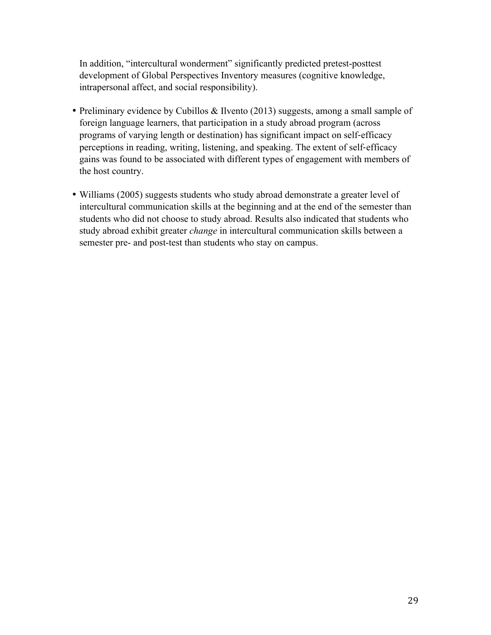In addition, "intercultural wonderment" significantly predicted pretest-posttest development of Global Perspectives Inventory measures (cognitive knowledge, intrapersonal affect, and social responsibility).

- Preliminary evidence by Cubillos & Ilvento (2013) suggests, among a small sample of foreign language learners, that participation in a study abroad program (across programs of varying length or destination) has significant impact on self-efficacy perceptions in reading, writing, listening, and speaking. The extent of self-efficacy gains was found to be associated with different types of engagement with members of the host country.
- Williams (2005) suggests students who study abroad demonstrate a greater level of intercultural communication skills at the beginning and at the end of the semester than students who did not choose to study abroad. Results also indicated that students who study abroad exhibit greater *change* in intercultural communication skills between a semester pre- and post-test than students who stay on campus.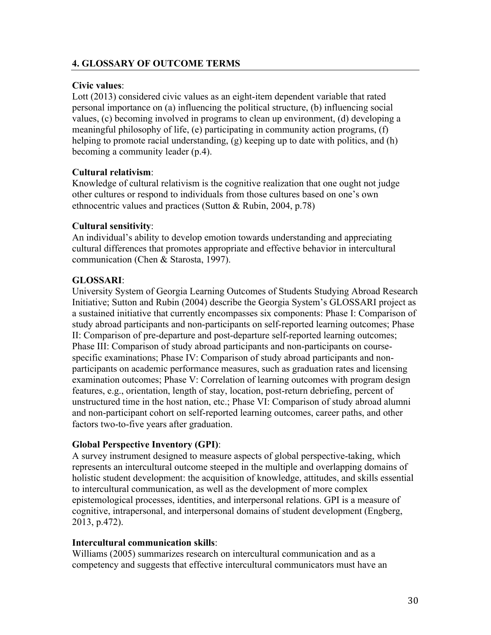# **4. GLOSSARY OF OUTCOME TERMS**

### **Civic values**:

Lott (2013) considered civic values as an eight-item dependent variable that rated personal importance on (a) influencing the political structure, (b) influencing social values, (c) becoming involved in programs to clean up environment, (d) developing a meaningful philosophy of life, (e) participating in community action programs, (f) helping to promote racial understanding, (g) keeping up to date with politics, and (h) becoming a community leader (p.4).

# **Cultural relativism**:

Knowledge of cultural relativism is the cognitive realization that one ought not judge other cultures or respond to individuals from those cultures based on one's own ethnocentric values and practices (Sutton & Rubin, 2004, p.78)

# **Cultural sensitivity**:

An individual's ability to develop emotion towards understanding and appreciating cultural differences that promotes appropriate and effective behavior in intercultural communication (Chen & Starosta, 1997).

# **GLOSSARI**:

University System of Georgia Learning Outcomes of Students Studying Abroad Research Initiative; Sutton and Rubin (2004) describe the Georgia System's GLOSSARI project as a sustained initiative that currently encompasses six components: Phase I: Comparison of study abroad participants and non-participants on self-reported learning outcomes; Phase II: Comparison of pre-departure and post-departure self-reported learning outcomes; Phase III: Comparison of study abroad participants and non-participants on coursespecific examinations; Phase IV: Comparison of study abroad participants and nonparticipants on academic performance measures, such as graduation rates and licensing examination outcomes; Phase V: Correlation of learning outcomes with program design features, e.g., orientation, length of stay, location, post-return debriefing, percent of unstructured time in the host nation, etc.; Phase VI: Comparison of study abroad alumni and non-participant cohort on self-reported learning outcomes, career paths, and other factors two-to-five years after graduation.

# **Global Perspective Inventory (GPI)**:

A survey instrument designed to measure aspects of global perspective-taking, which represents an intercultural outcome steeped in the multiple and overlapping domains of holistic student development: the acquisition of knowledge, attitudes, and skills essential to intercultural communication, as well as the development of more complex epistemological processes, identities, and interpersonal relations. GPI is a measure of cognitive, intrapersonal, and interpersonal domains of student development (Engberg, 2013, p.472).

### **Intercultural communication skills**:

Williams (2005) summarizes research on intercultural communication and as a competency and suggests that effective intercultural communicators must have an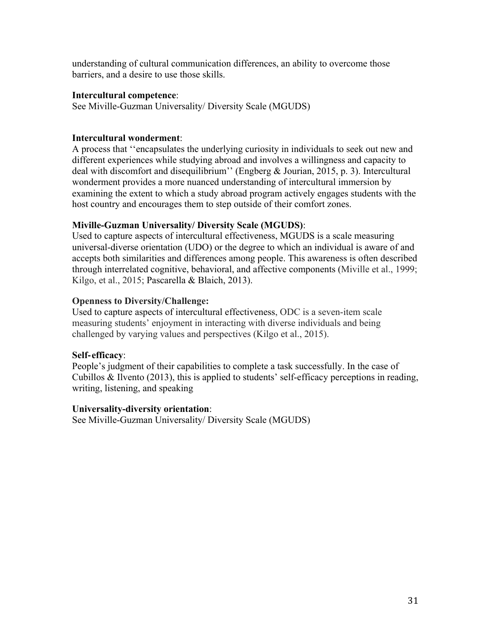understanding of cultural communication differences, an ability to overcome those barriers, and a desire to use those skills.

### **Intercultural competence**:

See Miville-Guzman Universality/ Diversity Scale (MGUDS)

# **Intercultural wonderment**:

A process that ''encapsulates the underlying curiosity in individuals to seek out new and different experiences while studying abroad and involves a willingness and capacity to deal with discomfort and disequilibrium'' (Engberg & Jourian, 2015, p. 3). Intercultural wonderment provides a more nuanced understanding of intercultural immersion by examining the extent to which a study abroad program actively engages students with the host country and encourages them to step outside of their comfort zones.

# **Miville-Guzman Universality/ Diversity Scale (MGUDS)**:

Used to capture aspects of intercultural effectiveness, MGUDS is a scale measuring universal-diverse orientation (UDO) or the degree to which an individual is aware of and accepts both similarities and differences among people. This awareness is often described through interrelated cognitive, behavioral, and affective components (Miville et al., 1999; Kilgo, et al., 2015; Pascarella & Blaich, 2013).

# **Openness to Diversity/Challenge:**

Used to capture aspects of intercultural effectiveness, ODC is a seven-item scale measuring students' enjoyment in interacting with diverse individuals and being challenged by varying values and perspectives (Kilgo et al., 2015).

# **Self**-**efficacy**:

People's judgment of their capabilities to complete a task successfully. In the case of Cubillos & Ilvento (2013), this is applied to students' self-efficacy perceptions in reading, writing, listening, and speaking

# **Universality-diversity orientation**:

See Miville-Guzman Universality/ Diversity Scale (MGUDS)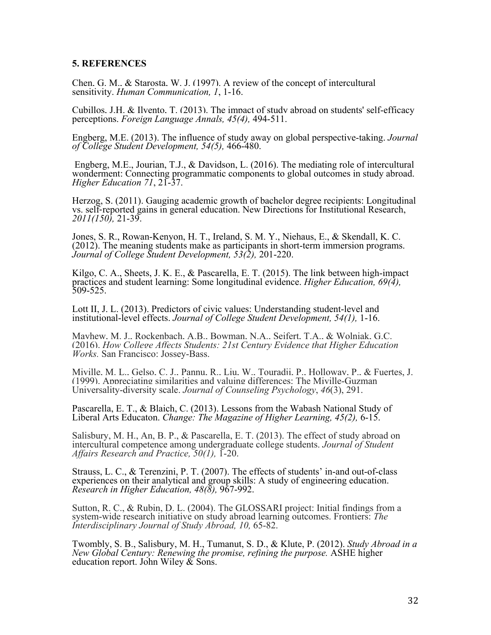#### **5. REFERENCES**

Chen, G. M., & Starosta, W. J. (1997). A review of the concept of intercultural sensitivity. *Human Communication, 1*, 1-16.

Cubillos, J.H. & Ilvento, T. (2013). The impact of study abroad on students' self-efficacy perceptions. *Foreign Language Annals, 45(4),* 494-511.

Engberg, M.E. (2013). The influence of study away on global perspective-taking. *Journal of College Student Development, 54(5),* 466-480.

Engberg, M.E., Jourian, T.J., & Davidson, L. (2016). The mediating role of intercultural wonderment: Connecting programmatic components to global outcomes in study abroad. *Higher Education 71*, 21-37.

Herzog, S. (2011). Gauging academic growth of bachelor degree recipients: Longitudinal vs. self-reported gains in general education. New Directions for Institutional Research, *2011(150),* 21-39.

Jones, S. R., Rowan-Kenyon, H. T., Ireland, S. M. Y., Niehaus, E., & Skendall, K. C. (2012). The meaning students make as participants in short-term immersion programs. *Journal of College Student Development, 53(2),* 201-220.

Kilgo, C. A., Sheets, J. K. E., & Pascarella, E. T. (2015). The link between high-impact practices and student learning: Some longitudinal evidence. *Higher Education, 69(4),* 509-525.

Lott II, J. L. (2013). Predictors of civic values: Understanding student-level and institutional-level effects. *Journal of College Student Development, 54(1),* 1-16.

Mayhew, M. J., Rockenbach, A.B., Bowman, N.A., Seifert, T.A., & Wolniak, G.C. (2016). *How College Affects Students: 21st Century Evidence that Higher Education Works.* San Francisco: Jossey-Bass.

Miville, M. L., Gelso, C. J., Pannu, R., Liu, W., Touradji, P., Holloway, P., & Fuertes, J. (1999). Appreciating similarities and valuing differences: The Miville-Guzman Universality-diversity scale. *Journal of Counseling Psychology*, *46*(3), 291.

Pascarella, E. T., & Blaich, C. (2013). Lessons from the Wabash National Study of Liberal Arts Educaton. *Change: The Magazine of Higher Learning, 45(2),* 6-15.

Salisbury, M. H., An, B. P., & Pascarella, E. T. (2013). The effect of study abroad on intercultural competence among undergraduate college students. *Journal of Student Affairs Research and Practice, 50(1),* 1-20.

Strauss, L. C., & Terenzini, P. T. (2007). The effects of students' in-and out-of-class experiences on their analytical and group skills: A study of engineering education. *Research in Higher Education, 48(8),* 967-992.

Sutton, R. C., & Rubin, D. L. (2004). The GLOSSARI project: Initial findings from a system-wide research initiative on study abroad learning outcomes. Frontiers: *The Interdisciplinary Journal of Study Abroad, 10,* 65-82.

Twombly, S. B., Salisbury, M. H., Tumanut, S. D., & Klute, P. (2012). *Study Abroad in a New Global Century: Renewing the promise, refining the purpose.* ASHE higher education report. John Wiley  $\&$  Sons.